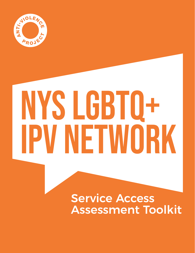

# NYS LGBTQ+ IPV NETWORK

Service Access Assessment Toolkit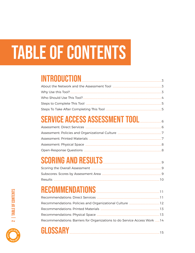# **TABLE OF CONTENTS**

### INTRODUCTION

### SERVICE ACCESS ASSESSMENT TOOL

### SCORING AND RESULTS

### RECOMMENDATIONS

| Recommendations: Barriers for Organizations to do Service Access Work 14 |  |
|--------------------------------------------------------------------------|--|
|                                                                          |  |





2 | TABLE OF CONTENTS

9

.3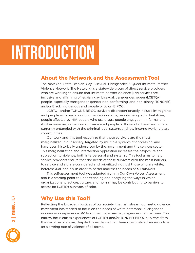### Introduction

#### **About the Network and the Assessment Tool**

The New York State Lesbian, Gay, Bisexual, Transgender, & Queer Intimate Partner Violence Network (The Network) is a statewide group of direct service providers who are working to ensure that intimate partner violence (IPV) services are inclusive and affirming of lesbian, gay, bisexual, transgender, queer (LGBTQ+) people, especially transgender, gender non-conforming, and non-binary (TGNCNB) and/or Black, indigenous and people of color (BIPOC).

LGBTQ+ and/or TGNCNB BIPOC survivors disproportionately include immigrants and people with unstable documentation status, people living with disabilities, people affected by HIV, people who use drugs, people engaged in informal and illicit economies, sex workers, incarcerated people or those who have been or are currently entangled with the criminal legal system, and low income working class communities.

Our work and this tool recognize that these survivors are the most marginalized in our society, targeted by multiple systems of oppression, and have been historically underserved by the government and the services sector. This marginalization and intersection oppression increases their exposure and subjection to violence, both interpersonal and systemic. This tool aims to help service providers ensure that the needs of these survivors with the most barriers to service and aid are considered and prioritized, not just those who are white, heterosexual, and cis, in order to better address the needs of **all** survivors.

This self-assessment tool was adapted from In Our Own Voices' Assessment, and is a starting point to understanding and analyzing the ways in which organizational practices, culture, and norms may be contributing to barriers to access for LGBTQ+ survivors of color.

#### **Why Use this Tool?**

Reflecting the broader injustices of our society, the mainstream domestic violence movement has tended to focus on the needs of white heterosexual cisgender women who experience IPV from their heterosexual, cisgender men partners. This narrow focus erases experiences of LGBTQ+ and/or TGNCNB BIPOC survivors from the narrative of abuse, despite the evidence that these marginalized survivors face an alarming rate of violence of all forms.

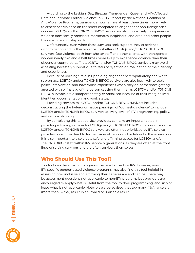According to the Lesbian, Gay, Bisexual, Transgender, Queer and HIV-Affected Hate and Intimate Partner Violence in 2017 Report by the National Coalition of Anti-Violence Programs, transgender women are at least three times more likely to experience violence on the street compared to cisgender or non-transgender women. LGBTQ+ and/or TGNCNB BIPOC people are also more likely to experience violence from family members, roommates, neighbors, landlords, and other people they are in relationship with.

Unfortunately, even when these survivors seek support, they experience discrimination and further violence. In shelters, LGBTQ+ and/or TGNCNB BIPOC survivors face violence both from shelter staff and other clients, with transgender women nearly two and a half times more likely to experience violence than their cisgender counterparts. Thus, LGBTQ+ and/or TGNCNB BIPOC survivors may avoid accessing necessary support due to fears of rejection or invalidation of their identity and experiences.

Because of policing's role in upholding cisgender heteropatriarchy and white supremacy, LGBTQ+ and/or TGNCNB BIPOC survivors are also less likely to seek police intervention, and have worse experiences when they do, sometimes getting arrested with or instead of the person causing them harm. LGBTQ+ and/or TGNCNB BIPOC survivors are disproportionately criminalized because of their marginalized identities, documentation, and work status.

Providing services to LGBTQ+ and/or TGNCNB BIPOC survivors includes deconstructing the heteronormative paradigm of "domestic violence" to include LGBTQ+ and/or TGNCNB BIPOC survivors at every level of IPV programming, policy, and service planning.

By completing this tool, service providers can take an important step in providing affirming services for LGBTQ+ and/or TGNCNB BIPOC survivors of violence. LGBTQ+ and/or TGNCNB BIPOC survivors are often not prioritized by IPV service providers, which can lead to further traumatization and isolation for these survivors. It is also important to also create safe and affirming spaces for LGBTQ+ and/or TGNCNB BIPOC staff within IPV service organizations, as they are often at the front lines of serving survivors and are often survivors themselves.

#### **Who Should Use This Tool?**

This tool was designed for programs that are focused on IPV. However, non-IPV specific gender-based violence programs may also find this tool helpful in assessing how inclusive and affirming their services are and can be. There may be assessment questions not applicable to non-IPV programs but providers are encouraged to apply what is useful from the tool to their programming, and skip or leave what is not applicable. Note: please be advised that too many "N/A" answers (more than 6) may result in an invalid or unusable result.

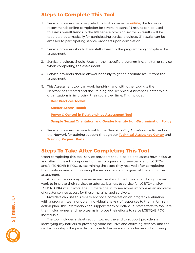#### **Steps to Complete This Tool**

- 1. Service providers can complete this tool on paper or **[online](https://www.surveymonkey.com/r/9LVHWM7)**; the Network recommends online completion for several reasons: 1) results can be used to assess overall trends in the IPV service provision sector, 2) results will be tabulated automatically for participating service providers, 3) results can be emailed to participating service providers upon completion.
- 2. Service providers should have staff closest to the programming complete the assessment.
- 3. Service providers should focus on their specific programming, shelter, or service when completing the assessment.
- 4. Service providers should answer honestly to get an accurate result from the assessment.
- 5. This Assessment tool can work hand-in-hand with other tool kits the Network has created and the Training and Technical Assistance Center to aid organizations in improving their score over time. This includes:

**[Best Practices Toolkit](https://drive.google.com/file/d/0B85YJBfy4EqBUEhoWTVXUWVBeW8/view?usp=sharing)**

**[Shelter Access Toolkit](https://drive.google.com/file/d/0B85YJBfy4EqBay1oSUZOV2NNZlk/view?usp=sharing)**

**[Power & Control in Relationships Assessment Tool](https://drive.google.com/file/d/1L0jhhTQKgynmLUgf3jgCj2jDXB88oN_w/view?usp=sharing)**

**[Sample Sexual Orientation and Gender Identity Non-Discrimination Policy](https://drive.google.com/file/d/1G-Nj9jDRygktLdIPVBg5VTdV9Il5r9X_/view?usp=sharing)**

6. Service providers can reach out to the New York City Anti-Violence Project or the Network for training support through our **[Technical Assistance Center](https://avp.org/ncavp/tta-center/)** and **[Training Request Portal](https://avp.org/get-involved/request-a-training/)**.

#### **Steps To Take After Completing This Tool**

Upon completing this tool, service providers should be able to assess how inclusive and affirming each component of their programs and services are for LGBTQ+ and/or TGNCNB BIPOC, by examining the score they received after completing the questionnaire, and following the recommendations given at the end of the assessment.

An organization may take an assessment multiple times, after doing internal work to improve their services or address barriers to service for LGBTQ+ and/or TGNCNB BIPOC survivors. The ultimate goal is to see scores improve as an indicator of greater service access for these marginalized survivors.

Providers can use this tool to anchor a conversation on program evaluation with a program team, or do an individual analysis of responses to then inform an action plan. This information can support team or individual staff efforts to evaluate their inclusiveness and help teams improve their efforts to serve LGBTQ+BIPOC individuals.

The tool includes a short section toward the end to support providers in identifying key barriers to providing more inclusive and affirming services, and the next action steps the provider can take to become more inclusive and affirming.

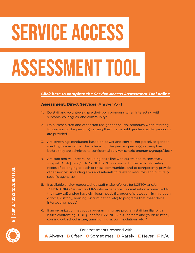# SERVICE ACCESS

# ASSESSMENT TOOL

#### *[Click here to complete the Service Access Assessment Tool online](https://www.surveymonkey.com/r/9LVHWM7)*

#### **Assessment: Direct Services** (Answer A–F)

- 1. Do staff and volunteers share their own pronouns when interacting with survivors, colleagues, and community?
- 2. Do outreach staff and other staff use gender neutral pronouns when referring to survivors or the person(s) causing them harm until gender specific pronouns are provided?
- 3. Are screenings conducted based on power and control, not perceived gender identity, to ensure that the caller is not the primary person(s) causing harm before they are admitted to confidential survivor-centric programs/groups/sites?
- 4. Are staff and volunteers, including crisis line workers, trained to sensitively support LGBTQ+ and/or TGNCNB BIPOC survivors with the particular safety needs of belonging to each of these communities, and to competently provide other services, including links and referrals to relevant resources and culturally specific agencies?
- 5. If available and/or requested, do staff make referrals for LGBTQ+ and/or TGNCNB BIPOC survivors of IPV who experience criminalization (connected to their survival) and/or have civil legal needs (i.e. order of protection, immigration, divorce, custody, housing, discrimination, etc) to programs that meet those intersecting needs?
- 6. If an organization has youth programming, are program staff familiar with issues confronting LGBTQ+ and/or TGNCNB BIPOC parents and youth (custody, coming out, school issues, transitioning, accommodations, etc.)?

For assessments, respond with:



**A** Always **B** Often **C** Sometimes **D** Rarely **E** Never **F** N/A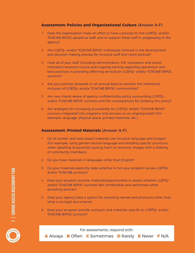#### **Assessment: Policies and Organizational Culture** (Answer A–F)

- 1. Does the organization make an effort or have a process to hire LGBTQ+ and/or TGNCNB BIPOC people as staff, and to support these staff in progressing in the agency?
- 2. Are LGBTQ+ and/or TGNCNB BIPOC individuals involved in the development and decision-making process for inclusive staff and client policies?
- 3. Have all of your staff (including administration, HR, volunteers, and board members) received routine and ongoing training regarding oppression and best practices in providing affirming services for LGBTQ+ and/or TGNCNB BIPOC survivors?
- 4. Are your policies reviewed on an annual basis to monitor the intentional inclusion of LGBTQ+ and/or TGNCNB BIPOC communities?
- 5. Are new clients aware of agency confidentiality policy surrounding LGBTQ+ and/or TGNCNB BIPOC survivors and the consequences for violating this policy?
- 6. Are strategies for increasing accessibility for LGBTQ+ and/or TGNCNB BIPOC survivors integrated into programs and services on an ongoing basis? (For example: language, physical space, printed materials, etc.)

#### **Assessment: Printed Materials** (Answer A–F)

- 1. Do all written and web-based materials use inclusive language and images? (For example: using gender neutral language and avoiding specific pronouns, when speaking of person(s) causing harm or survivors, images with a diversity of community members)
- 2. Do you have materials in languages other than English?
- 3. Do your materials explicitly state whether or not your program serves LGBTQ+ and/or TGNCNB survivors?
- 4. Does your program provide materials/opportunities to assess whether LGBTQ+ and/or TGNCNB BIPOC survivors feel comfortable and welcomed when accessing services?
- 5. Does your agency have a system for recording names and pronouns other than what is on legal documents?
- 6. Does your program provide outreach and materials specific to LGBTQ+ and/or TGNCNB BIPOC survivors?

For assessments, respond with:



**A** Always **B** Often **C** Sometimes **D** Rarely **E** Never **F** N/A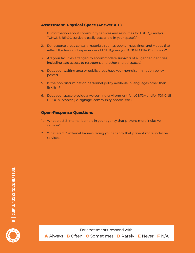#### **Assessment: Physical Space** (Answer A–F)

- 1. Is information about community services and resources for LGBTQ+ and/or TGNCNB BIPOC survivors easily accessible in your space(s)?
- 2. Do resource areas contain materials such as books, magazines, and videos that reflect the lives and experiences of LGBTQ+ and/or TGNCNB BIPOC survivors?
- 3. Are your facilities arranged to accommodate survivors of all gender identities, including safe access to restrooms and other shared spaces?
- 4. Does your waiting area or public areas have your non-discrimination policy posted?
- 5. Is the non-discrimination personnel policy available in languages other than English?
- 6. Does your space provide a welcoming environment for LGBTQ+ and/or TGNCNB BIPOC survivors? (i.e. signage, community photos, etc.)

#### **Open-Response Questions**

- 1. What are 2-3 internal barriers in your agency that prevent more inclusive services?
- 2. What are 2-3 external barriers facing your agency that prevent more inclusive services?



For assessments, respond with: **A** Always **B** Often **C** Sometimes **D** Rarely **E** Never **F** N/A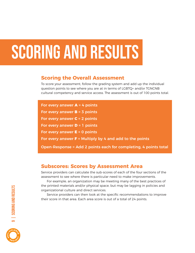### scoring and results

#### **Scoring the Overall Assessment**

To score your assessment, follow the grading system and add up the individual question points to see where you are at in terms of LGBTQ+ and/or TGNCNB cultural competency and service access. The assessment is out of 100 points total.

| For every answer $A = 4$ points                                  |
|------------------------------------------------------------------|
| For every answer $B = 3$ points                                  |
| For every answer $C = 2$ points                                  |
| For every answer $D = 1$ points                                  |
| For every answer $E = 0$ points                                  |
| For every answer $F =$ Multiply by 4 and add to the points       |
| Open-Response = Add 2 points each for completing, 4 points total |

#### **Subscores: Scores by Assessment Area**

Service providers can calculate the sub-scores of each of the four sections of the assessment to see where there is particular need to make improvements.

For example, an organization may be meeting many of the best practices of the printed materials and/or physical space, but may be lagging in policies and organizational culture and direct services.

Service providers can then look at the specific recommendations to improve their score in that area. Each area score is out of a total of 24 points.

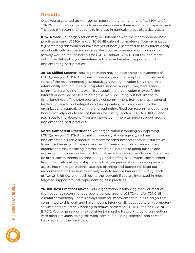#### **Results**

Once you've counted up your points, refer to the grading range of LGBTQ+ and/or TGNCNB cultural competency to understand where there is room for improvement. Then use the recommendations to improve in particular areas of service access.

**0–24: Novice.** Your organization may be unfamiliar with the recommended best practices around LGBTQ+ and/or TGNCNB cultural competency. Your organization is just starting this work and have not yet or have just started to think intentionally about culturally competent services. Read our recommendations on how to actively work to reduce barriers for LGBTQ+ and/or TGNCNB BIPOC, and reach out to the Network if you are interested in more targeted support around implementing best practices.

**28–48: Skilled Learner.** Your organization may be developing an awareness of LGBTQ+ and/or TGNCNB cultural competency and is attempting to implement some of the recommended best practices. Your organization is trying to think intentionally about culturally competent services, and you may have a few committed staff doing this work. But overall, the organization may be facing internal or external barriers to doing the work, including but not limited to time, funding, staffing shortages, a lack of commitment from the organizational leadership, or a lack of integration of incorporating service access into the organizational strategic planning and budgeting. Read our recommendations on how to actively work to reduce barriers for LGBTQ+ and/or TGNCNB BIPOC, and reach out to the Network if you are interested in more targeted support around implementing best practices.

**52-72: Competent Practitioner.** Your organization is working on improving LGBTQ+ and/or TGNCNB cultural competency at your agency, and has implemented a sizable amount of recommended best practices, but still strives to reduce barriers and improve services for these marginalized survivors. Your organization may be facing internal or external barriers to going further, and implementing more involved or difficult-to-execute recommendations. There may be other commitments on time, energy, and staffing, a lukewarm commitment from organizational leadership, or a lack of integration of incorporating service access into the organizational strategic planning and budgeting. Read our recommendations on how to actively work to reduce barriers for LGBTQ+ and/ or TGNCNB BIPOC, and reach out to the Network if you are interested in more targeted support around implementing best practices.

**76–100: Best Practices Maven!** Your organization is following many or most of the frequently recommended best practices around LGBTQ+ and/or TGNCNB cultural competency. There's always room for improvement, but it's clear you are committed to this work and have thought intentionally about culturally competent services, and are actively working to reduce barriers for LGBTQ+ and/or TGNCNB BIPOC. Your organization may consider joining the Network to build connections with other providers doing this work, continue building expertise, and spread knowledge to other providers.

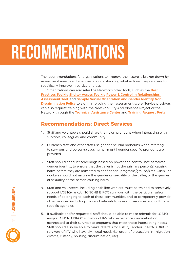## RECOMMENDATIONS

The recommendations for organizations to improve their score is broken down by assessment area to aid agencies in understanding what actions they can take to specifically improve in particular areas.

Organizations can also refer the Network's other tools, such as the **[Best](https://drive.google.com/file/d/0B85YJBfy4EqBUEhoWTVXUWVBeW8/view?usp=sharing)  [Practices Toolkit](https://drive.google.com/file/d/0B85YJBfy4EqBUEhoWTVXUWVBeW8/view?usp=sharing)**, **[Shelter Access Toolkit](https://drive.google.com/file/d/0B85YJBfy4EqBay1oSUZOV2NNZlk/view?usp=sharing)**, **[Power & Control in Relationships](https://drive.google.com/file/d/1L0jhhTQKgynmLUgf3jgCj2jDXB88oN_w/view?usp=sharing)  [Assessment Tool](https://drive.google.com/file/d/1L0jhhTQKgynmLUgf3jgCj2jDXB88oN_w/view?usp=sharing)**, and **[Sample Sexual Orientation and Gender Identity Non-](https://drive.google.com/file/d/1G-Nj9jDRygktLdIPVBg5VTdV9Il5r9X_/view?usp=sharing)[Discrimination Policy](https://drive.google.com/file/d/1G-Nj9jDRygktLdIPVBg5VTdV9Il5r9X_/view?usp=sharing)** to aid in improving their assessment score. Service providers can also request training with the New York City Anti-Violence Project or the Network through the **[Technical Assistance Center](https://avp.org/ncavp/tta-center/)** and **[Training Request Portal](https://avp.org/get-involved/request-a-training/)**.

#### **Recommendations: Direct Services**

- 1. Staff and volunteers should share their own pronouns when interacting with survivors, colleagues, and community.
- 2. Outreach staff and other staff use gender neutral pronouns when referring to survivors and person(s) causing harm until gender specific pronouns are provided.
- 3. Staff should conduct screenings based on power and control, not perceived gender identity, to ensure that the caller is not the primary person(s) causing harm before they are admitted to confidential programs/groups/sites. Crisis line workers should not assume the gender or sexuality of the caller, or the gender or sexuality of the person causing harm.
- 4. Staff and volunteers, including crisis line workers, must be trained to sensitively support LGBTQ+ and/or TGNCNB BIPOC survivors with the particular safety needs of belonging to each of these communities, and to competently provide other services, including links and referrals to relevant resources and culturally specific agencies.
- 5. If available and/or requested, staff should be able to make referrals for LGBTQ+ and/or TGNCNB BIPOC survivors of IPV who experience criminalization (connected to their survival) to programs that meet those intersecting needs. Staff should also be able to make referrals for LGBTQ+ and/or TGNCNB BIPOC survivors of IPV who have civil legal needs (i.e. order of protection, immigration, divorce, custody, housing, discrimination, etc).

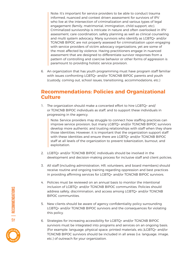Note: It's important for service providers to be able to conduct trauma informed, nuanced and context driven assessment for survivors of IPV who live at the intersection of criminalization and various types of legal engagement (family, matrimonial, immigration, child support, etc). Criminalized survivorship is intricate in nature and often overlooked in IPV assessment, care coordination, safety planning as well as clinical counseling and multi system advocacy. Many survivors who identify as LGBTQ+ and/or TGNCNB BIPOC are not properly assessed for criminalization upon engaging with service providers of victim advocacy organizations, yet are some of the most affected by violence. Having practitioners engage in nuanced assessment that are designed to differentiate survivor responses from a pattern of controlling and coercive behavior or other forms of aggression is paramount to providing holistic service provision.

6. An organization that has youth programming must have program staff familiar with issues confronting LGBTQ+ and/or TGNCNB BIPOC parents and youth (custody, coming out, school issues, transitioning, accommodations, etc.)

#### **Recommendations: Policies and Organizational Culture**

1. The organization should make a concerted effort to hire LGBTQ+ and/ or TGNCNB BIPOC individuals as staff, and to support these individuals in progressing in the agency.

Note: Service providers may struggle to connect how staffing practices can improve service provision, but many LGBTQ+ and/or TGNCNB BIPOC survivors develop more authentic and trusting relationships with staff when they share those identities. However, it is important that the organization support staff with these identities and ensure there are LGBTQ+ and/or TGNCNB BIPOC staff at all levels of the organization to prevent tokenization, burnout, and exploitation.

- 2. LGBTQ+ and/or TGNCNB BIPOC individuals should be involved in the development and decision-making process for inclusive staff and client policies.
- 3. All staff (including administration, HR, volunteers, and board members) should receive routine and ongoing training regarding oppression and best practices in providing affirming services for LGBTQ+ and/or TGNCNB BIPOC survivors.
- 4. Policies must be reviewed on an annual basis to monitor the intentional inclusion of LGBTQ+ and/or TGNCNB BIPOC communities. Policies should address safety, discrimination, and access among LGBTQ+ and/or TGNCNB BIPOC communities.
- 5. New clients should be aware of agency confidentiality policy surrounding LGBTQ+ and/or TGNCNB BIPOC survivors and the consequences for violating this policy.
- 6. Strategies for increasing accessibility for LGBTQ+ and/or TGNCNB BIPOC survivors must be integrated into programs and services on an ongoing basis. (For example: language, physical space, printed materials, etc.)LGBTQ+ and/or TGNCNB BIPOC survivors should be included in all areas (i.e. language, image, etc.) of outreach for your organization.



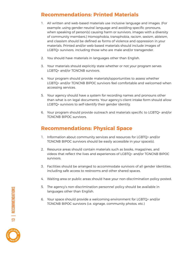#### **Recommendations: Printed Materials**

- 1. All written and web-based materials use inclusive language and images. (For example: using gender neutral language and avoiding specific pronouns, when speaking of person(s) causing harm or survivors, images with a diversity of community members.) Homophobia, transphobia, racism, sexism, ableism, and classism should be defined as forms of violence and oppression in your materials. Printed and/or web-based materials should include images of LGBTQ+ survivors, including those who are male and/or transgender.
- 2. You should have materials in languages other than English.
- 3. Your materials should explicitly state whether or not your program serves LGBTQ+ and/or TGNCNB survivors.
- 4. Your program should provide materials/opportunities to assess whether LGBTQ+ and/or TGNCNB BIPOC survivors feel comfortable and welcomed when accessing services.
- 5. Your agency should have a system for recording names and pronouns other than what is on legal documents. Your agency's client intake form should allow LGBTQ+ survivors to self-identify their gender identity.
- 6. Your program should provide outreach and materials specific to LGBTQ+ and/or TGNCNB BIPOC survivors.

#### **Recommendations: Physical Space**

- 1. Information about community services and resources for LGBTQ+ and/or TGNCNB BIPOC survivors should be easily accessible in your space(s).
- 2. Resource areas should contain materials such as books, magazines, and videos that reflect the lives and experiences of LGBTQ+ and/or TGNCNB BIPOC survivors.
- 3. Facilities should be arranged to accommodate survivors of all gender identities, including safe access to restrooms and other shared spaces.
- 4. Waiting area or public areas should have your non-discrimination policy posted.
- 5. The agency's non-discrimination personnel policy should be available in languages other than English.
- 6. Your space should provide a welcoming environment for LGBTQ+ and/or TGNCNB BIPOC survivors (i.e. signage, community photos, etc.)



13 | REcommendations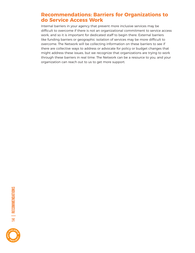#### **Recommendations: Barriers for Organizations to do Service Access Work**

Internal barriers in your agency that prevent more inclusive services may be difficult to overcome if there is not an organizational commitment to service access work, and so it is important for dedicated staff to begin there. External barriers like funding barriers or geographic isolation of services may be more difficult to overcome. The Network will be collecting information on these barriers to see if there are collective ways to address or advocate for policy or budget changes that might address these issues, but we recognize that organizations are trying to work through these barriers in real time. The Network can be a resource to you, and your organization can reach out to us to get more support.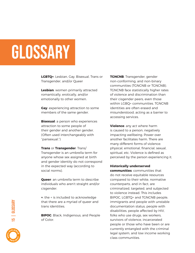### GLOSSARY

**LGBTQ+**: Lesbian, Gay, Bisexual, Trans or Transgender, and/or Queer

**Lesbian**: women primarily attracted romantically, erotically, and/or emotionally to other women.

**Gay**: experiencing attraction to some members of the same gender.

**Bisexual:** a person who experiences attraction to some people of their gender and another gender. (Often used interchangeably with "pansexual.")

**Trans** or **Transgender**: Trans/ Transgender is an umbrella term for anyone whose sex assigned at birth and gender identity do not correspond in the expected way (according to social norms).

**Queer**: an umbrella term to describe individuals who aren't straight and/or cisgender.

**+**: the + is included to acknowledge that there are a myriad of queer and trans identities.

**BIPOC**: Black, Indigenous, and People of Color.

**TGNCNB**: Transgender, gender non-conforming, and non-binary communities (TGNCNB or TGNCNB). TGNCNB face statistically higher rates of violence and discrimination than their cisgender peers, even those within LGBQ+ communities. TGNCNB identities are often erased and misunderstood, acting as a barrier to accessing services.

**Violence**: any act where harm is caused to a person, negatively impacting wellbeing. Power over another facilitates harm. There are many different forms of violence: physical, emotional, financial, sexual, spiritual, etc. Violence is defined as perceived by the person experiencing it.

#### **Historically underserved**

**communities**: communities that do not receive equitable resources compared to their white, normative counterparts, and in fact, are criminalized, targeted, and subjected to violence instead. This includes BIPOC, LGBTQ+ and TGNCNB people, immigrants and people with unstable documentation status, people with disabilities, people affected by HIV, folks who use drugs, sex workers, survivors of violence, incarcerated people or those who have been or are currently entangled with the criminal legal system, and low income working class communities.



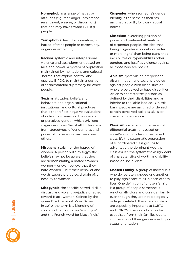**Homophobia**: a range of negative attitudes (e.g., fear, anger, intolerance, resentment, erasure, or discomfort) that one may have toward LGBTQ+ people.

**Transphobia**: fear, discrimination, or hatred of trans people or community, or gender ambiguity.

**Racism**: systemic and interpersonal violence and abandonment based on race and power. A system of oppression maintained by institutions and cultural "norms" that exploit, control, and oppress BIPOC, to maintain a position of social/material supremacy for white people.

**Sexism**: attitudes, beliefs, and behaviors, and organizational, institutional, and cultural practices that either reflect negative evaluations of individuals based on their gender or perceived gender, which privilege cisgender males. Sexist attitudes stem from stereotypes of gender roles and power of cis heterosexual men over others.

**Misogyny**: sexism or the hatred of women. A person with misogynistic beliefs may not be aware that they are demonstrating a hatred towards women — or even believe that they hate women — but their behavior and words expose prejudice, disdain of, or hostility to women.

**Misogynoir**: the specific hatred, dislike, distrust, and violent prejudice directed toward Black women. Coined by the queer Black feminist Moya Bailey in 2010, the term is a blending of concepts that combines "misogyny" and the French word for black, "noir."

**Cisgender**: when someone's gender identity is the same as their sex assigned at birth, following social norms.

**Cissexism**: exercising position of power and preferential treatment of cisgender people, the idea that being cisgender is somehow better or more "right" than being trans, that invisibilizes or hypervisiblizes other genders, and justifies violence against all those who are not cis.

**Ableism**: systemic or interpersonal discrimination and social prejudice against people with disabilities or who are perceived to have disabilities. Ableism characterizes persons as defined by their disabilities and as inferior to the "able-bodied." On this basis, people are assigned or denied certain perceived abilities, skills, or character orientations.

**Classism**: systemic or interpersonal differential treatment based on social/economic class or perceived class. It's the systematic oppression of subordinated class groups to advantage the dominant wealthy class(es). It's the systematic assignment of characteristics of worth and ability based on social class.

**Chosen Family**: A group of individuals who deliberately choose one another to play significant roles in each other's lives. One definition of chosen family is a group of people someone is emotionally close and consider 'family' even though they are not biologically or legally related. These relationships are especially important to LGBTQ+ and TGNCNB people who may be ostracised from their families due to stigma around their gender identity or sexual orientation.